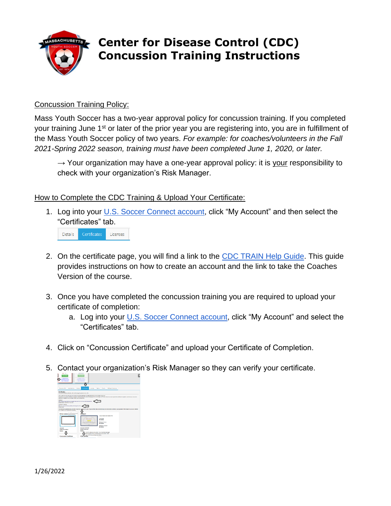

## **Center for Disease Control (CDC) Concussion Training Instructions**

## Concussion Training Policy:

Mass Youth Soccer has a two-year approval policy for concussion training. If you completed your training June 1<sup>st</sup> or later of the prior year you are registering into, you are in fulfillment of the Mass Youth Soccer policy of two years. *For example: for coaches/volunteers in the Fall 2021-Spring 2022 season, training must have been completed June 1, 2020, or later.*

 $\rightarrow$  Your organization may have a one-year approval policy: it is your responsibility to check with your organization's Risk Manager.

## How to Complete the CDC Training & Upload Your Certificate:

1. Log into your [U.S. Soccer Connect account,](https://ma-adultinfo.affinitysoccer.com/Foundation/Login.aspx?sessionguid=) click "My Account" and then select the "Certificates" tab.

Certificates Details Licenses

- 2. On the certificate page, you will find a link to the [CDC TRAIN Help Guide.](https://www.mayouthsoccer.org/assets/61/6/create_an_account_cdc_train_headsup_massachusetts_(002).pdf) This guide provides instructions on how to create an account and the link to take the Coaches Version of the course.
- 3. Once you have completed the concussion training you are required to upload your certificate of completion:
	- a. Log into your [U.S. Soccer Connect account,](https://ma-adultinfo.affinitysoccer.com/Foundation/Login.aspx?sessionguid=) click "My Account" and select the "Certificates" tab.
- 4. Click on "Concussion Certificate" and upload your Certificate of Completion.
- 5. Contact your organization's Risk Manager so they can verify your certificate.